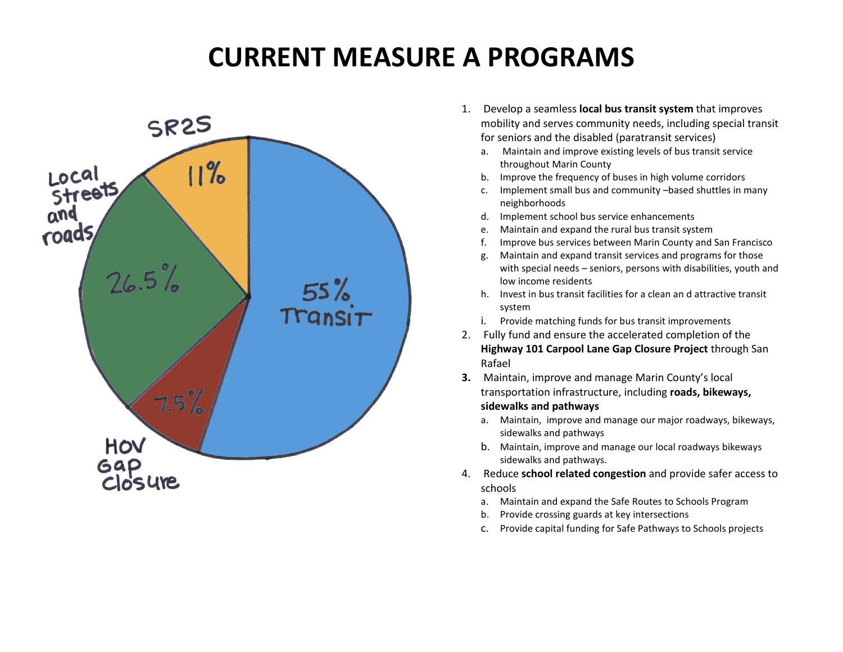## **CURRENT MEASURE A PROGRAMS**



- 1. Develop a seamless **local bus transit system** that improves mobility and serves community needs, including special transit for seniors and the disabled (paratransit services)
	- a. Maintain and improve existing levels of bus transit service throughout Marin County
	- b. Improve the frequency of buses in high volume corridors
	- c. Implement small bus and community –based shuttles in many neighborhoods
	- d. Implement school bus service enhancements
	- e. Maintain and expand the rural bus transit system
	- f. Improve bus services between Marin County and San Francisco
	- g. Maintain and expand transit services and programs for those with special needs – seniors, persons with disabilities, youth and low income residents
	- h. Invest in bus transit facilities for a clean an d attractive transit system
	- i. Provide matching funds for bus transit improvements
- 2. Fully fund and ensure the accelerated completion of the **Highway 101 Carpool Lane Gap Closure Project** through San Rafael
- **3.** Maintain, improve and manage Marin County's local transportation infrastructure, including **roads, bikeways, sidewalks and pathways**
	- a. Maintain, improve and manage our major roadways, bikeways, sidewalks and pathways
	- b. Maintain, improve and manage our local roadways bikeways sidewalks and pathways.
- 4. Reduce **school related congestion** and provide safer access to schools
	- a. Maintain and expand the Safe Routes to Schools Program
	- b. Provide crossing guards at key intersections
	- c. Provide capital funding for Safe Pathways to Schools projects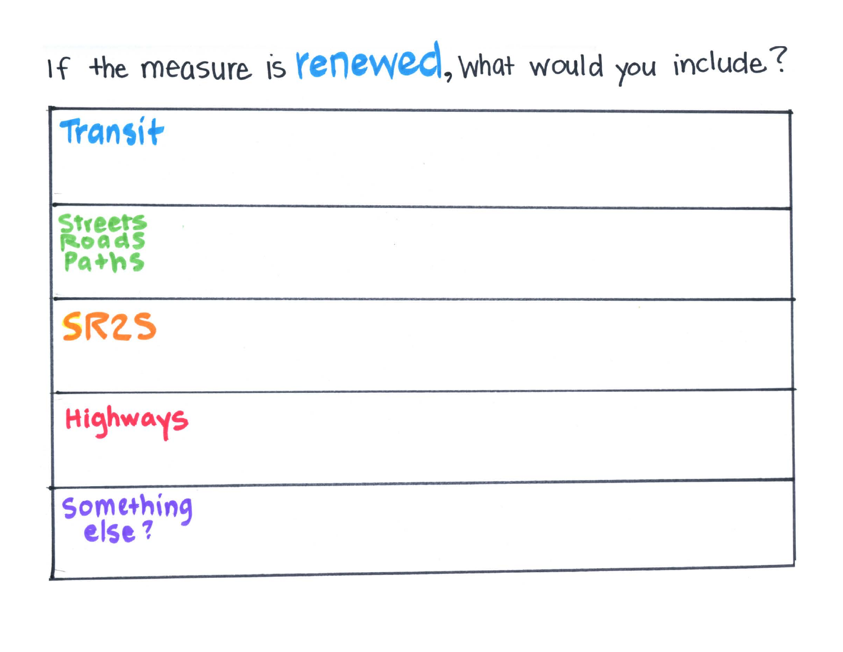## If the measure is renewed, what would you include?

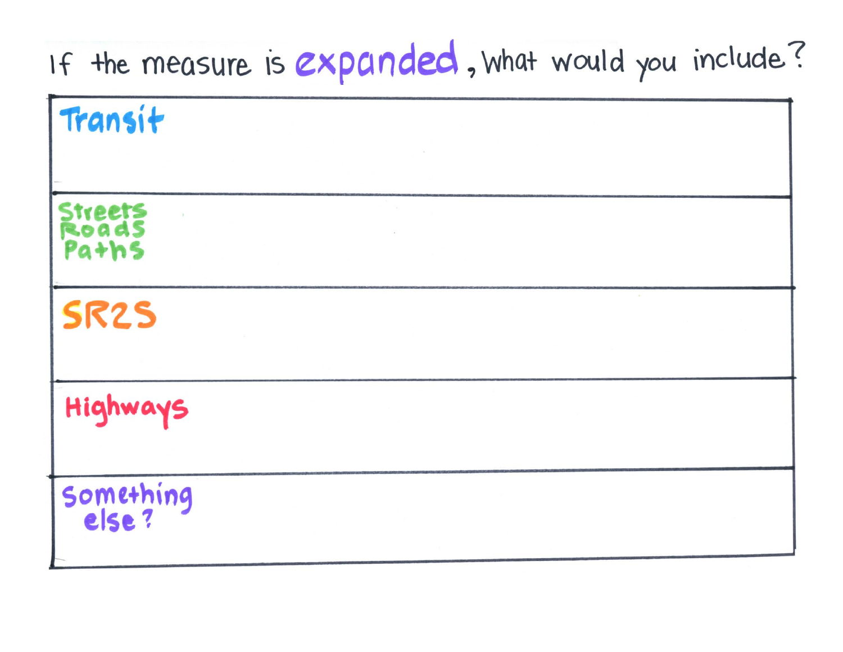## If the measure is expanded, what would you include?

| Transit                   |                |
|---------------------------|----------------|
| Streets<br>Roads<br>Paths |                |
| <b>SR2S</b>               | $\sim 10^{-1}$ |
| Highways                  |                |
| Something<br>else?        |                |